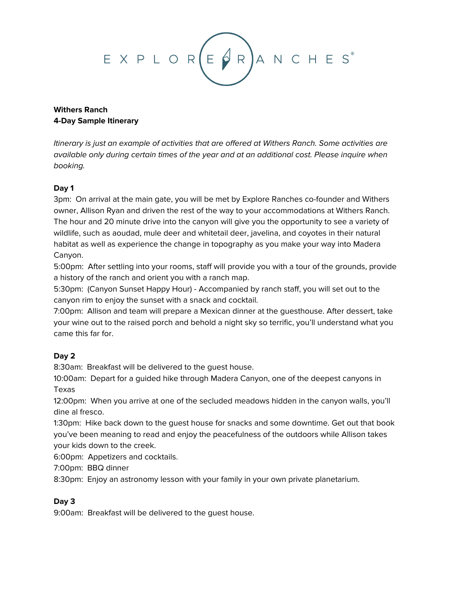

# **Withers Ranch 4-Day Sample Itinerary**

Itinerary is just an example of activities that are offered at Withers Ranch. Some activities are available only during certain times of the year and at an additional cost. Please inquire when booking.

## **Day 1**

3pm: On arrival at the main gate, you will be met by Explore Ranches co-founder and Withers owner, Allison Ryan and driven the rest of the way to your accommodations at Withers Ranch. The hour and 20 minute drive into the canyon will give you the opportunity to see a variety of wildlife, such as aoudad, mule deer and whitetail deer, javelina, and coyotes in their natural habitat as well as experience the change in topography as you make your way into Madera Canyon.

5:00pm: After settling into your rooms, staff will provide you with a tour of the grounds, provide a history of the ranch and orient you with a ranch map.

5:30pm: (Canyon Sunset Happy Hour) - Accompanied by ranch staff, you will set out to the canyon rim to enjoy the sunset with a snack and cocktail.

7:00pm: Allison and team will prepare a Mexican dinner at the guesthouse. After dessert, take your wine out to the raised porch and behold a night sky so terrific, you'll understand what you came this far for.

# **Day 2**

8:30am: Breakfast will be delivered to the guest house.

10:00am: Depart for a guided hike through Madera Canyon, one of the deepest canyons in Texas

12:00pm: When you arrive at one of the secluded meadows hidden in the canyon walls, you'll dine al fresco.

1:30pm: Hike back down to the guest house for snacks and some downtime. Get out that book you've been meaning to read and enjoy the peacefulness of the outdoors while Allison takes your kids down to the creek.

6:00pm: Appetizers and cocktails.

7:00pm: BBQ dinner

8:30pm: Enjoy an astronomy lesson with your family in your own private planetarium.

### **Day 3**

9:00am: Breakfast will be delivered to the guest house.